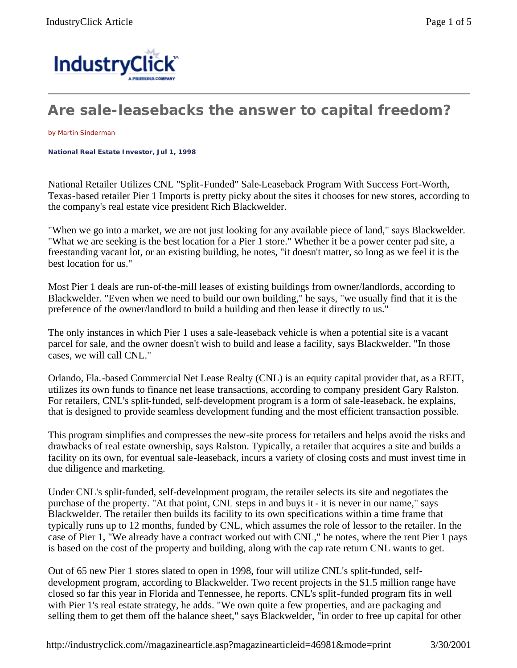

## **Are sale-leasebacks the answer to capital freedom?**

by Martin Sinderman

**National Real Estate Investor, Jul 1, 1998** 

National Retailer Utilizes CNL "Split-Funded" Sale-Leaseback Program With Success Fort-Worth, Texas-based retailer Pier 1 Imports is pretty picky about the sites it chooses for new stores, according to the company's real estate vice president Rich Blackwelder.

"When we go into a market, we are not just looking for any available piece of land," says Blackwelder. "What we are seeking is the best location for a Pier 1 store." Whether it be a power center pad site, a freestanding vacant lot, or an existing building, he notes, "it doesn't matter, so long as we feel it is the best location for us."

Most Pier 1 deals are run-of-the-mill leases of existing buildings from owner/landlords, according to Blackwelder. "Even when we need to build our own building," he says, "we usually find that it is the preference of the owner/landlord to build a building and then lease it directly to us."

The only instances in which Pier 1 uses a sale-leaseback vehicle is when a potential site is a vacant parcel for sale, and the owner doesn't wish to build and lease a facility, says Blackwelder. "In those cases, we will call CNL."

Orlando, Fla.-based Commercial Net Lease Realty (CNL) is an equity capital provider that, as a REIT, utilizes its own funds to finance net lease transactions, according to company president Gary Ralston. For retailers, CNL's split-funded, self-development program is a form of sale-leaseback, he explains, that is designed to provide seamless development funding and the most efficient transaction possible.

This program simplifies and compresses the new-site process for retailers and helps avoid the risks and drawbacks of real estate ownership, says Ralston. Typically, a retailer that acquires a site and builds a facility on its own, for eventual sale-leaseback, incurs a variety of closing costs and must invest time in due diligence and marketing.

Under CNL's split-funded, self-development program, the retailer selects its site and negotiates the purchase of the property. "At that point, CNL steps in and buys it - it is never in our name," says Blackwelder. The retailer then builds its facility to its own specifications within a time frame that typically runs up to 12 months, funded by CNL, which assumes the role of lessor to the retailer. In the case of Pier 1, "We already have a contract worked out with CNL," he notes, where the rent Pier 1 pays is based on the cost of the property and building, along with the cap rate return CNL wants to get.

Out of 65 new Pier 1 stores slated to open in 1998, four will utilize CNL's split-funded, selfdevelopment program, according to Blackwelder. Two recent projects in the \$1.5 million range have closed so far this year in Florida and Tennessee, he reports. CNL's split-funded program fits in well with Pier 1's real estate strategy, he adds. "We own quite a few properties, and are packaging and selling them to get them off the balance sheet," says Blackwelder, "in order to free up capital for other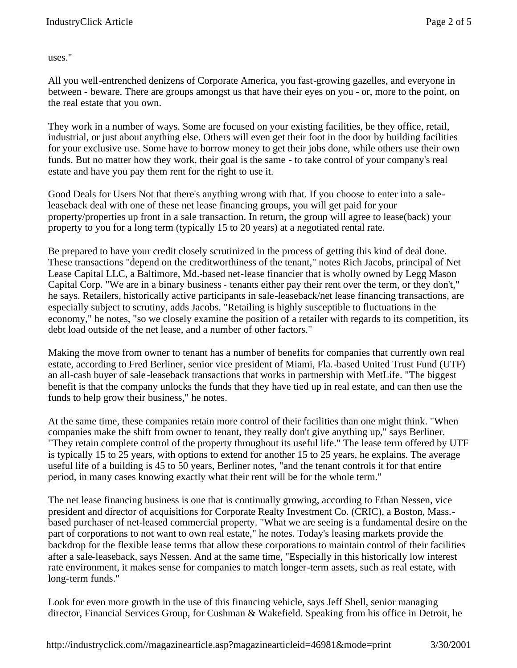uses."

All you well-entrenched denizens of Corporate America, you fast-growing gazelles, and everyone in between - beware. There are groups amongst us that have their eyes on you - or, more to the point, on the real estate that you own.

They work in a number of ways. Some are focused on your existing facilities, be they office, retail, industrial, or just about anything else. Others will even get their foot in the door by building facilities for your exclusive use. Some have to borrow money to get their jobs done, while others use their own funds. But no matter how they work, their goal is the same - to take control of your company's real estate and have you pay them rent for the right to use it.

Good Deals for Users Not that there's anything wrong with that. If you choose to enter into a saleleaseback deal with one of these net lease financing groups, you will get paid for your property/properties up front in a sale transaction. In return, the group will agree to lease(back) your property to you for a long term (typically 15 to 20 years) at a negotiated rental rate.

Be prepared to have your credit closely scrutinized in the process of getting this kind of deal done. These transactions "depend on the creditworthiness of the tenant," notes Rich Jacobs, principal of Net Lease Capital LLC, a Baltimore, Md.-based net-lease financier that is wholly owned by Legg Mason Capital Corp. "We are in a binary business - tenants either pay their rent over the term, or they don't," he says. Retailers, historically active participants in sale-leaseback/net lease financing transactions, are especially subject to scrutiny, adds Jacobs. "Retailing is highly susceptible to fluctuations in the economy," he notes, "so we closely examine the position of a retailer with regards to its competition, its debt load outside of the net lease, and a number of other factors."

Making the move from owner to tenant has a number of benefits for companies that currently own real estate, according to Fred Berliner, senior vice president of Miami, Fla.-based United Trust Fund (UTF) an all-cash buyer of sale -leaseback transactions that works in partnership with MetLife. "The biggest benefit is that the company unlocks the funds that they have tied up in real estate, and can then use the funds to help grow their business," he notes.

At the same time, these companies retain more control of their facilities than one might think. "When companies make the shift from owner to tenant, they really don't give anything up," says Berliner. "They retain complete control of the property throughout its useful life." The lease term offered by UTF is typically 15 to 25 years, with options to extend for another 15 to 25 years, he explains. The average useful life of a building is 45 to 50 years, Berliner notes, "and the tenant controls it for that entire period, in many cases knowing exactly what their rent will be for the whole term."

The net lease financing business is one that is continually growing, according to Ethan Nessen, vice president and director of acquisitions for Corporate Realty Investment Co. (CRIC), a Boston, Mass. based purchaser of net-leased commercial property. "What we are seeing is a fundamental desire on the part of corporations to not want to own real estate," he notes. Today's leasing markets provide the backdrop for the flexible lease terms that allow these corporations to maintain control of their facilities after a sale-leaseback, says Nessen. And at the same time, "Especially in this historically low interest rate environment, it makes sense for companies to match longer-term assets, such as real estate, with long-term funds."

Look for even more growth in the use of this financing vehicle, says Jeff Shell, senior managing director, Financial Services Group, for Cushman & Wakefield. Speaking from his office in Detroit, he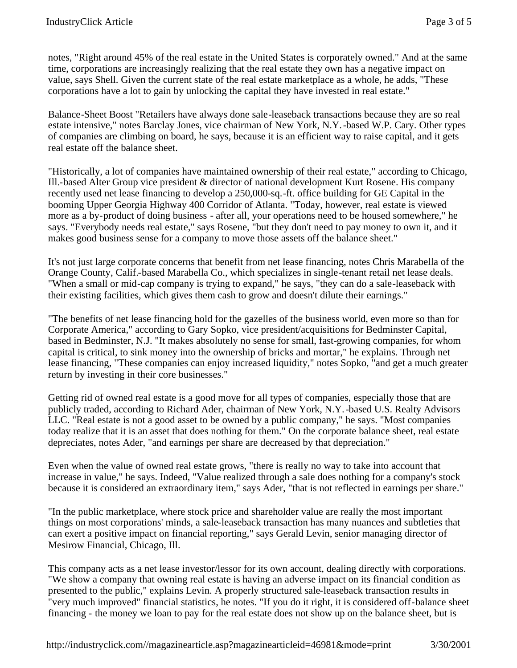notes, "Right around 45% of the real estate in the United States is corporately owned." And at the same time, corporations are increasingly realizing that the real estate they own has a negative impact on value, says Shell. Given the current state of the real estate marketplace as a whole, he adds, "These corporations have a lot to gain by unlocking the capital they have invested in real estate."

Balance-Sheet Boost "Retailers have always done sale-leaseback transactions because they are so real estate intensive," notes Barclay Jones, vice chairman of New York, N.Y.-based W.P. Cary. Other types of companies are climbing on board, he says, because it is an efficient way to raise capital, and it gets real estate off the balance sheet.

"Historically, a lot of companies have maintained ownership of their real estate," according to Chicago, Ill.-based Alter Group vice president & director of national development Kurt Rosene. His company recently used net lease financing to develop a 250,000-sq.-ft. office building for GE Capital in the booming Upper Georgia Highway 400 Corridor of Atlanta. "Today, however, real estate is viewed more as a by-product of doing business - after all, your operations need to be housed somewhere," he says. "Everybody needs real estate," says Rosene, "but they don't need to pay money to own it, and it makes good business sense for a company to move those assets off the balance sheet."

It's not just large corporate concerns that benefit from net lease financing, notes Chris Marabella of the Orange County, Calif.-based Marabella Co., which specializes in single-tenant retail net lease deals. "When a small or mid-cap company is trying to expand," he says, "they can do a sale-leaseback with their existing facilities, which gives them cash to grow and doesn't dilute their earnings."

"The benefits of net lease financing hold for the gazelles of the business world, even more so than for Corporate America," according to Gary Sopko, vice president/acquisitions for Bedminster Capital, based in Bedminster, N.J. "It makes absolutely no sense for small, fast-growing companies, for whom capital is critical, to sink money into the ownership of bricks and mortar," he explains. Through net lease financing, "These companies can enjoy increased liquidity," notes Sopko, "and get a much greater return by investing in their core businesses."

Getting rid of owned real estate is a good move for all types of companies, especially those that are publicly traded, according to Richard Ader, chairman of New York, N.Y.-based U.S. Realty Advisors LLC. "Real estate is not a good asset to be owned by a public company," he says. "Most companies today realize that it is an asset that does nothing for them." On the corporate balance sheet, real estate depreciates, notes Ader, "and earnings per share are decreased by that depreciation."

Even when the value of owned real estate grows, "there is really no way to take into account that increase in value," he says. Indeed, "Value realized through a sale does nothing for a company's stock because it is considered an extraordinary item," says Ader, "that is not reflected in earnings per share."

"In the public marketplace, where stock price and shareholder value are really the most important things on most corporations' minds, a sale-leaseback transaction has many nuances and subtleties that can exert a positive impact on financial reporting," says Gerald Levin, senior managing director of Mesirow Financial, Chicago, Ill.

This company acts as a net lease investor/lessor for its own account, dealing directly with corporations. "We show a company that owning real estate is having an adverse impact on its financial condition as presented to the public," explains Levin. A properly structured sale-leaseback transaction results in "very much improved" financial statistics, he notes. "If you do it right, it is considered off-balance sheet financing - the money we loan to pay for the real estate does not show up on the balance sheet, but is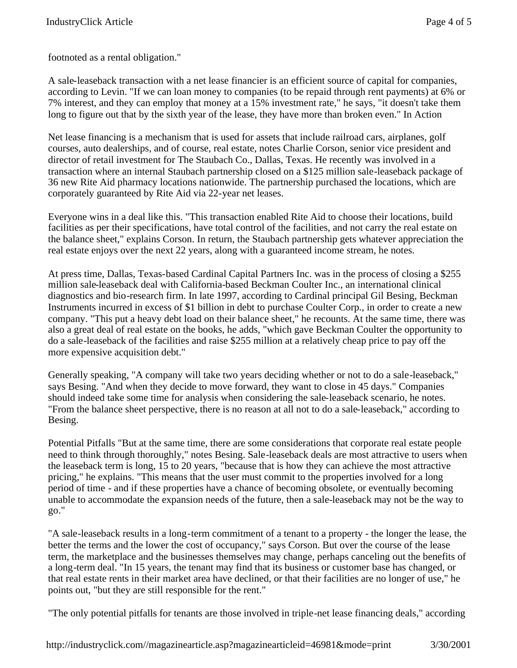footnoted as a rental obligation."

A sale-leaseback transaction with a net lease financier is an efficient source of capital for companies, according to Levin. "If we can loan money to companies (to be repaid through rent payments) at 6% or 7% interest, and they can employ that money at a 15% investment rate," he says, "it doesn't take them long to figure out that by the sixth year of the lease, they have more than broken even." In Action

Net lease financing is a mechanism that is used for assets that include railroad cars, airplanes, golf courses, auto dealerships, and of course, real estate, notes Charlie Corson, senior vice president and director of retail investment for The Staubach Co., Dallas, Texas. He recently was involved in a transaction where an internal Staubach partnership closed on a \$125 million sale-leaseback package of 36 new Rite Aid pharmacy locations nationwide. The partnership purchased the locations, which are corporately guaranteed by Rite Aid via 22-year net leases.

Everyone wins in a deal like this. "This transaction enabled Rite Aid to choose their locations, build facilities as per their specifications, have total control of the facilities, and not carry the real estate on the balance sheet," explains Corson. In return, the Staubach partnership gets whatever appreciation the real estate enjoys over the next 22 years, along with a guaranteed income stream, he notes.

At press time, Dallas, Texas-based Cardinal Capital Partners Inc. was in the process of closing a \$255 million sale-leaseback deal with California-based Beckman Coulter Inc., an international clinical diagnostics and bio-research firm. In late 1997, according to Cardinal principal Gil Besing, Beckman Instruments incurred in excess of \$1 billion in debt to purchase Coulter Corp., in order to create a new company. "This put a heavy debt load on their balance sheet," he recounts. At the same time, there was also a great deal of real estate on the books, he adds, "which gave Beckman Coulter the opportunity to do a sale-leaseback of the facilities and raise \$255 million at a relatively cheap price to pay off the more expensive acquisition debt."

Generally speaking, "A company will take two years deciding whether or not to do a sale-leaseback," says Besing. "And when they decide to move forward, they want to close in 45 days." Companies should indeed take some time for analysis when considering the sale-leaseback scenario, he notes. "From the balance sheet perspective, there is no reason at all not to do a sale-leaseback," according to Besing.

Potential Pitfalls "But at the same time, there are some considerations that corporate real estate people need to think through thoroughly," notes Besing. Sale-leaseback deals are most attractive to users when the leaseback term is long, 15 to 20 years, "because that is how they can achieve the most attractive pricing," he explains. "This means that the user must commit to the properties involved for a long period of time - and if these properties have a chance of becoming obsolete, or eventually becoming unable to accommodate the expansion needs of the future, then a sale-leaseback may not be the way to go."

"A sale-leaseback results in a long-term commitment of a tenant to a property - the longer the lease, the better the terms and the lower the cost of occupancy," says Corson. But over the course of the lease term, the marketplace and the businesses themselves may change, perhaps canceling out the benefits of a long-term deal. "In 15 years, the tenant may find that its business or customer base has changed, or that real estate rents in their market area have declined, or that their facilities are no longer of use," he points out, "but they are still responsible for the rent."

"The only potential pitfalls for tenants are those involved in triple-net lease financing deals," according